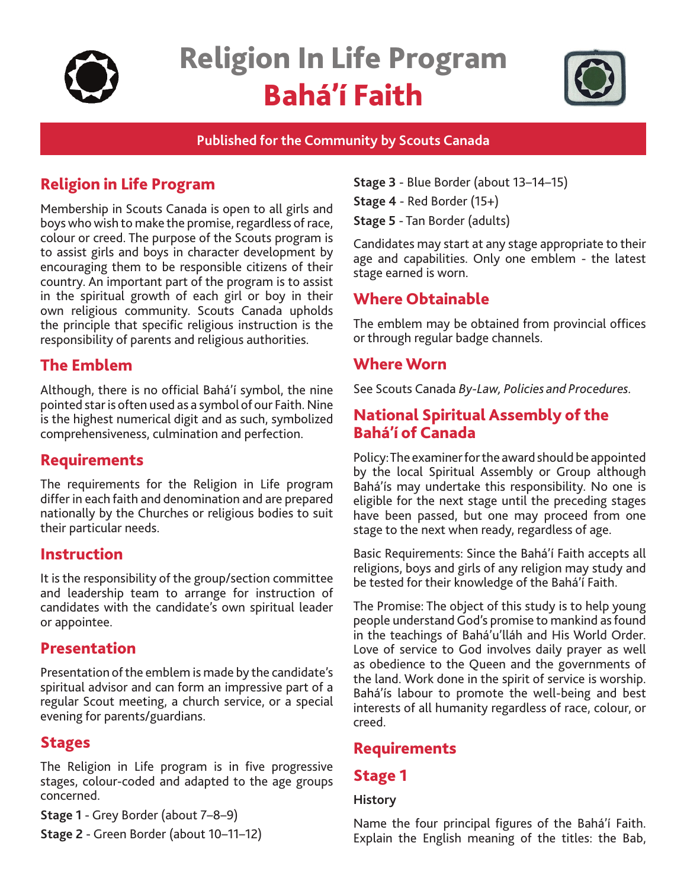

# Religion In Life Program Bahá'í Faith



### **Published for the Community by Scouts Canada**

# Religion in Life Program

Membership in Scouts Canada is open to all girls and boys who wish to make the promise, regardless of race, colour or creed. The purpose of the Scouts program is to assist girls and boys in character development by encouraging them to be responsible citizens of their country. An important part of the program is to assist in the spiritual growth of each girl or boy in their own religious community. Scouts Canada upholds the principle that specific religious instruction is the responsibility of parents and religious authorities.

# The Emblem

Although, there is no official Bahá'í symbol, the nine pointed star is often used as a symbol of our Faith. Nine is the highest numerical digit and as such, symbolized comprehensiveness, culmination and perfection.

### **Requirements**

The requirements for the Religion in Life program differ in each faith and denomination and are prepared nationally by the Churches or religious bodies to suit their particular needs.

# Instruction

It is the responsibility of the group/section committee and leadership team to arrange for instruction of candidates with the candidate's own spiritual leader or appointee.

# Presentation

Presentation of the emblem is made by the candidate's spiritual advisor and can form an impressive part of a regular Scout meeting, a church service, or a special evening for parents/guardians.

# Stages

The Religion in Life program is in five progressive stages, colour-coded and adapted to the age groups concerned.

**Stage 1** - Grey Border (about 7–8–9)

**Stage 2** - Green Border (about 10–11–12)

**Stage 3** - Blue Border (about 13–14–15)

**Stage 4** - Red Border (15+)

**Stage 5** - Tan Border (adults)

Candidates may start at any stage appropriate to their age and capabilities. Only one emblem - the latest stage earned is worn.

# Where Obtainable

The emblem may be obtained from provincial offices or through regular badge channels.

### Where Worn

See Scouts Canada *By-Law, Policies and Procedures.*

# National Spiritual Assembly of the Bahá'í of Canada

Policy: The examiner for the award should be appointed by the local Spiritual Assembly or Group although Bahá'ís may undertake this responsibility. No one is eligible for the next stage until the preceding stages have been passed, but one may proceed from one stage to the next when ready, regardless of age.

Basic Requirements: Since the Bahá'í Faith accepts all religions, boys and girls of any religion may study and be tested for their knowledge of the Bahá'í Faith.

The Promise: The object of this study is to help young people understand God's promise to mankind as found in the teachings of Bahá'u'lláh and His World Order. Love of service to God involves daily prayer as well as obedience to the Queen and the governments of the land. Work done in the spirit of service is worship. Bahá'ís labour to promote the well-being and best interests of all humanity regardless of race, colour, or creed.

# Requirements

### Stage 1

#### **History**

Name the four principal figures of the Bahá'í Faith. Explain the English meaning of the titles: the Bab,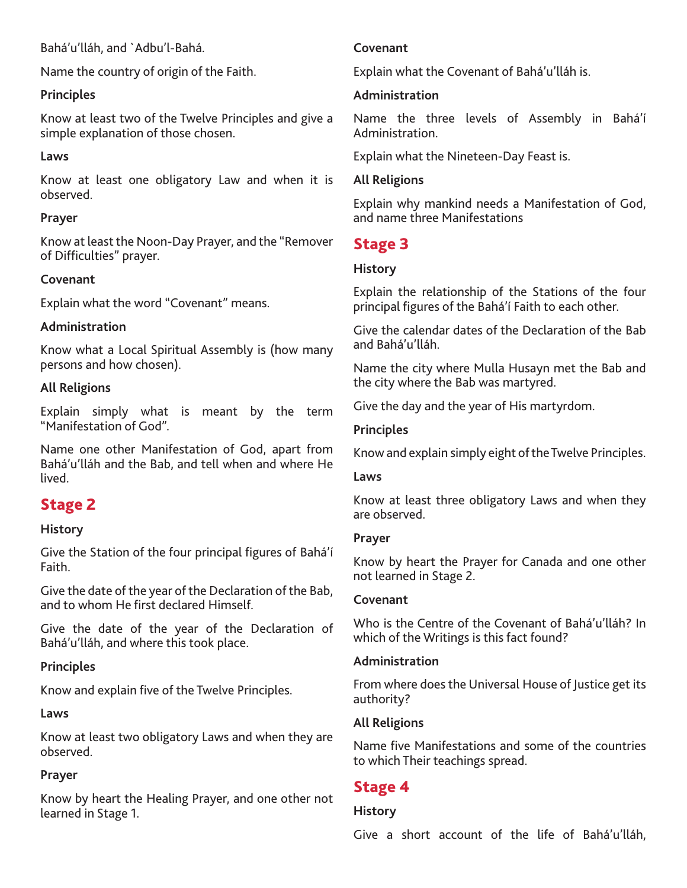Bahá'u'lláh, and `Adbu'l-Bahá.

Name the country of origin of the Faith.

### **Principles**

Know at least two of the Twelve Principles and give a simple explanation of those chosen.

### **Laws**

Know at least one obligatory Law and when it is observed.

### **Prayer**

Know at least the Noon-Day Prayer, and the "Remover of Difficulties" prayer.

### **Covenant**

Explain what the word "Covenant" means.

### **Administration**

Know what a Local Spiritual Assembly is (how many persons and how chosen).

### **All Religions**

Explain simply what is meant by the term "Manifestation of God".

Name one other Manifestation of God, apart from Bahá'u'lláh and the Bab, and tell when and where He lived.

# Stage 2

### **History**

Give the Station of the four principal figures of Bahá'í Faith.

Give the date of the year of the Declaration of the Bab, and to whom He first declared Himself.

Give the date of the year of the Declaration of Bahá'u'lláh, and where this took place.

### **Principles**

Know and explain five of the Twelve Principles.

### **Laws**

Know at least two obligatory Laws and when they are observed.

### **Prayer**

Know by heart the Healing Prayer, and one other not learned in Stage 1.

### **Covenant**

Explain what the Covenant of Bahá'u'lláh is.

### **Administration**

Name the three levels of Assembly in Bahá'í Administration.

Explain what the Nineteen-Day Feast is.

### **All Religions**

Explain why mankind needs a Manifestation of God, and name three Manifestations

# Stage 3

### **History**

Explain the relationship of the Stations of the four principal figures of the Bahá'í Faith to each other.

Give the calendar dates of the Declaration of the Bab and Bahá'u'lláh.

Name the city where Mulla Husayn met the Bab and the city where the Bab was martyred.

Give the day and the year of His martyrdom.

### **Principles**

Know and explain simply eight of the Twelve Principles.

### **Laws**

Know at least three obligatory Laws and when they are observed.

#### **Prayer**

Know by heart the Prayer for Canada and one other not learned in Stage 2.

### **Covenant**

Who is the Centre of the Covenant of Bahá'u'lláh? In which of the Writings is this fact found?

### **Administration**

From where does the Universal House of Justice get its authority?

### **All Religions**

Name five Manifestations and some of the countries to which Their teachings spread.

# Stage 4

#### **History**

Give a short account of the life of Bahá'u'lláh,